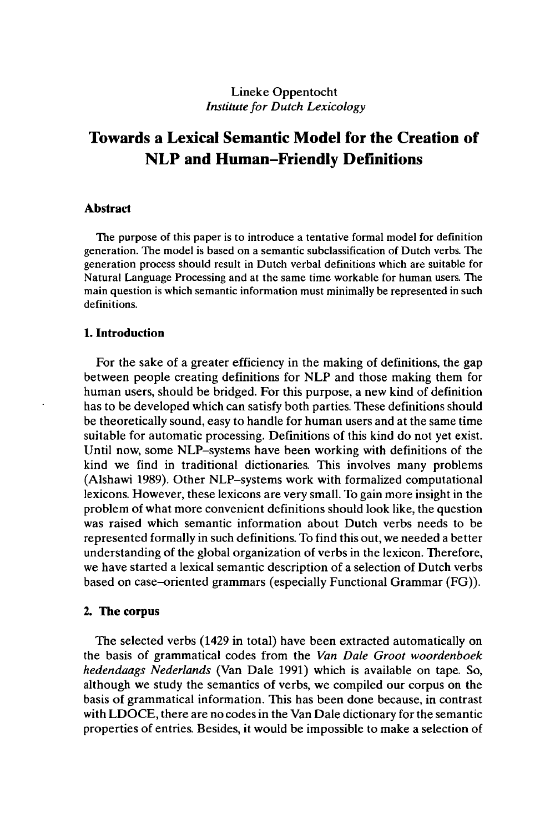# Lineke Oppentocht *Institute for Dutch Lexicology*

# **Towards a Lexical Semantic Model for the Creation of NLP and Human-Friendly Definitions**

## **Abstract**

The purpose of this paper is to introduce a tentative formal model for definition generation. The model is based on a semantic subclassification of Dutch verbs. The generation process should result in Dutch verbal definitions which are suitable for Natural Language Processing and at the same time workable for human users. The main question is which semantic information must minimally be represented in such definitions.

## **1. Introduction**

For the sake of a greater efficiency in the making of definitions, the gap between people creating definitions for NLP and those making them for human users, should be bridged. For this purpose, a new kind of definition has to be developed which can satisfy both parties. These definitions should be theoretically sound, easy to handle for human users and at the same time suitable for automatic processing. Definitions of this kind do not yet exist. Until now, some NLP-systems have been working with definitions of the kind we find in traditional dictionaries. This involves many problems (Alshawi 1989). Other NLP-systems work with formalized computational lexicons. However, these lexicons are very small. To gain more insight in the problem of what more convenient definitions should look like, the question was raised which semantic information about Dutch verbs needs to be represented formally in such definitions. To find this out, we needed a better understanding of the global organization of verbs in the lexicon. Therefore, we have started a lexical semantic description of a selection of Dutch verbs based on case-oriented grammars (especially Functional Grammar (FG)).

### **2. The corpus**

The selected verbs (1429 in total) have been extracted automatically on the basis of grammatical codes from the *Van Dale Groot woordenboek hedendaags Nederlands* (Van Dale 1991) which is available on tape. So, although we study the semantics of verbs, we compiled our corpus on the basis of grammatical information. This has been done because, in contrast with LDOCE, there are no codes in the Van Dale dictionary for the semantic properties of entries. Besides, it would be impossible to make a selection of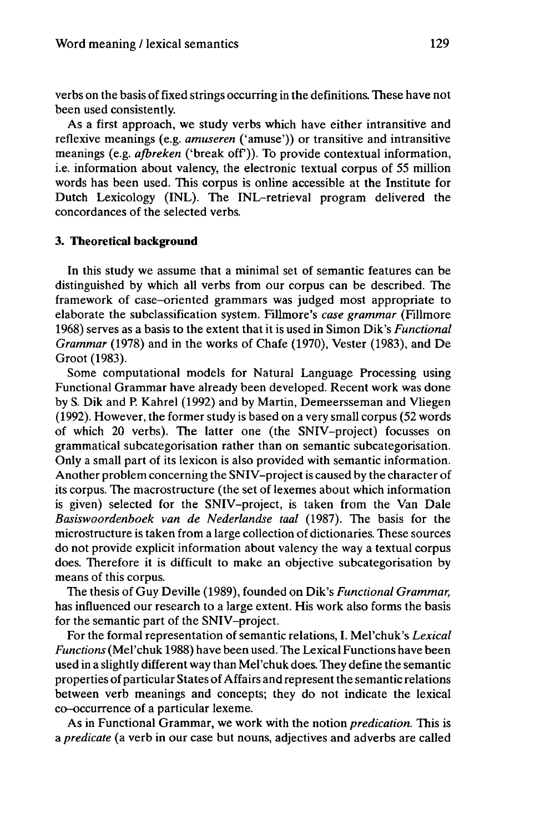verbs on the basis of fixed strings occurring in the definitions. These have not been used consistently.

As a first approach, we study verbs which have either intransitive and reflexive meanings (e.g. *amuseren* ('amuse')) or transitive and intransitive meanings (e.g. *ajbreken* ('break off)). To provide contextual information, i.e. information about valency, the electronic textual corpus of 55 million words has been used. This corpus is online accessible at the Institute for Dutch Lexicology (INL). The INL-retrieval program delivered the concordances of the selected verbs.

## **3. Theoretical background**

In this study we assume that a minimal set of semantic features can be distinguished by which all verbs from our corpus can be described. The framework of case-oriented grammars was judged most appropriate to elaborate the subclassification system. Fillmore's *case grammar* (Fillmore 1968) serves as a basis to the extent that it is used in Simon Dik's *Functional Grammar* (1978) and in the works of Chafe (1970), Vester (1983), and De Groot (1983).

Some computational models for Natural Language Processing using Functional Grammar have already been developed. Recent work was done by S. Dik and P. Kahrel (1992) and by Martin, Demeersseman and Vliegen (1992). However, the former study is based on a very small corpus (52 words of which 20 verbs). The latter one (the SNIV-project) focusses on grammatical subcategorisation rather than on semantic subcategorisation. Only a small part of its lexicon is also provided with semantic information. Another problem concerning the SNIV-project is caused by the character of its corpus. The macrostructure (the set of lexemes about which information is given) selected for the SNIV-project, is taken from the Van Dale *Basiswoordenboek van de Nederlandse taal* (1987). The basis for the microstructure is taken from a large collection of dictionaries. These sources do not provide explicit information about valency the way a textual corpus does. Therefore it is difficult to make an objective subcategorisation by means of this corpus.

The thesis of Guy Deville (1989), founded on Dik's *Functional Grammar,* has influenced our research to a large extent. His work also forms the basis for the semantic part of the SNIV-project.

For the formal representation of semantic relations, I. Mel'chuk's *Lexical Functions*(Mel'chuk 1988) have been used. The Lexical Functions have been used in a slightly different way than Mel'chuk does. They define the semantic properties of particular States of Affairs and represent the semantic relations between verb meanings and concepts; they do not indicate the lexical co-occurrence of a particular lexeme.

As in Functional Grammar, we work with the notion *predication.* This is a *predicate* (a verb in our case but nouns, adjectives and adverbs are called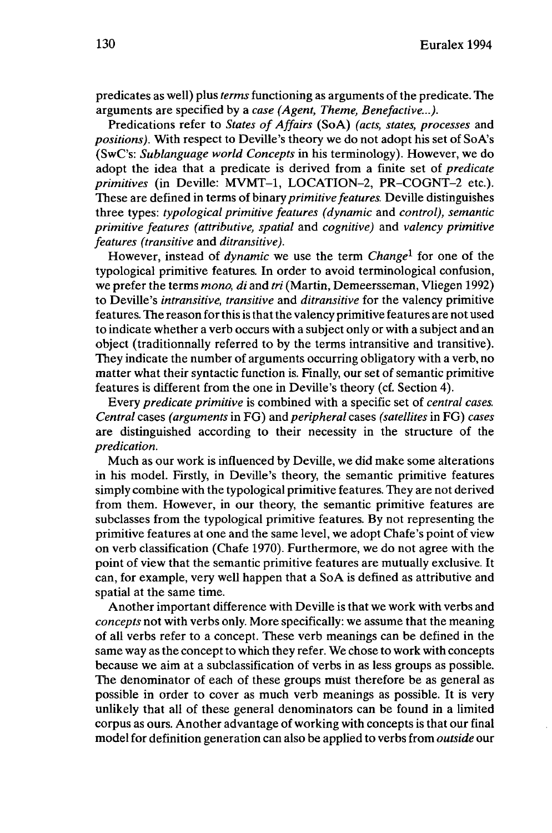predicates as well) plus *terms* functioning as arguments of the predicate. The arguments are specified by a *case (Agent, Theme, Benefactive...).*

Predications refer to *States of Affairs* (SoA) *(acts, states, processes* and *positions).* With respect to Deville's theory we do not adopt his set of SoA's (SwC's: *Sublanguage world Concepts* in his terminology). However, we do adopt the idea that a predicate is derived from a finite set of *predicate primitives* (in Deville: MVMT-1, LOCATION-2, PR-COGNT-2 etc.). These are defined in terms of binary *primitive features.* Deville distinguishes three types: *typological primitive features (dynamic* and *control), semantic primitive features (attributive, spatial* and *cognitive)* and *valency primitive features (transitive* and *ditransitive).*

However, instead of *dynamic* we use the term *Change<sup>1</sup>* for one of the typological primitive features. In order to avoid terminological confusion, we prefer the terms *mono, di* and *tri* (Martin, Demeersseman, Vliegen 1992) to Deville's *intransitive, transitive* and *ditransitive* for the valency primitive features. The reason forthisis thatthe valency primitive features are not used to indicate whether a verb occurs with a subject only or with a subject and an object (traditionnally referred to by the terms intransitive and transitive). They indicate the number of arguments occurring obligatory with a verb, no matter what their syntactic function is. Finally, our set of semantic primitive features is different from the one in Deville's theory (cf. Section 4).

Every *predicate primitive* is combined with a specific set of *central cases. Central* cases *(arguments* in FG) and *peripheral* cases *(satellites* in FG) *cases* are distinguished according to their necessity in the structure of the *predication.*

Much as our work is influenced by Deville, we did make some alterations in his model. Firstly, in Deville's theory, the semantic primitive features simply combine with the typological primitive features. They are not derived from them. However, in our theory, the semantic primitive features are subclasses from the typological primitive features. By not representing the primitive features at one and the same level, we adopt Chafe's point of view on verb classification (Chafe 1970). Furthermore, we do not agree with the point of view that the semantic primitive features are mutually exclusive. It can, for example, very well happen that a SoA is defined as attributive and spatial at the same time.

Another important difference with Deville is that we work with verbs and *concepts* not with verbs only. More specifically: we assume that the meaning of all verbs refer to a concept. These verb meanings can be defined in the same way as the concept to which they refer. We chose to work with concepts because we aim at a subclassification of verbs in as less groups as possible. The denominator of each of these groups must therefore be as general as possible in order to cover as much verb meanings as possible. It is very unlikely that all of these general denominators can be found in a limited corpus as ours. Another advantage of working with concepts is that our final model for definition generation can also be applied to verbs from *outside* our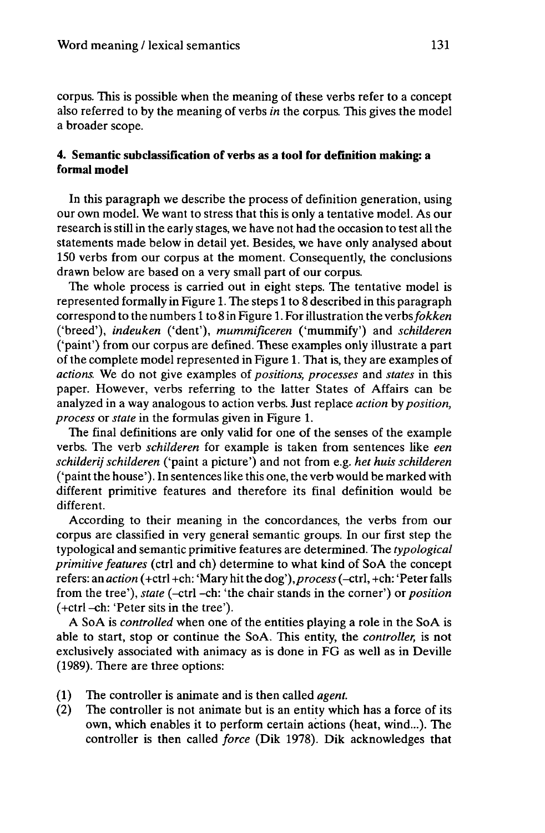corpus. This is possible when the meaning of these verbs refer to a concept also referred to by the meaning of verbs *in* the corpus. This gives the model a broader scope.

## **4. Semantic subclassification of verbs as a tool for definition making: a formal model**

In this paragraph we describe the process of definition generation, using our own model. We want to stress that this is only a tentative model. As our research is still in the early stages, we have not had the occasion to test all the statements made below in detail yet. Besides, we have only analysed about 150 verbs from our corpus at the moment. Consequently, the conclusions drawn below are based on a very small part of our corpus.

The whole process is carried out in eight steps. The tentative model is represented formally in Figure 1. The steps <sup>1</sup> to 8 described in this paragraph correspond to the numbers <sup>1</sup> to 8 in Figure 1. For illustration the *verbsfokken* ('breed'), *indeuken* ('dent'), *mummificeren* ('mummify') and *schilderen* ('paint') from our corpus are defined. These examples only illustrate a part of the complete model represented in Figure 1. That is, they are examples of *actions.* We do not give examples of *positions, processes* and *states* in this paper. However, verbs referring to the latter States of Affairs can be analyzed in a way analogous to action verbs. Just replace *action* by *position, process* or *state* in the formulas given in Figure 1.

The final definitions are only valid for one of the senses of the example verbs. The verb *schilderen* for example is taken from sentences like *een schilderij schilderen* ('paint a picture') and not from e.g. *het huis schilderen* ('paintthe house'). In sentences like this one, the verb would be marked with different primitive features and therefore its final definition would be different.

According to their meaning in the concordances, the verbs from our corpus are classified in very general semantic groups. In our first step the typological and semantic primitive features are determined. The *typological primitive features* (ctrl and ch) determine to what kind of SoA the concept refers: an *action* (+ctrl +ch: 'Mary hitthe dog'),*process*(-ctrl, +ch: 'Peterfalls from the tree'), *state* (-ctrl -ch: 'the chair stands in the corner') or *position* (+ctrl -ch: 'Peter sits in the tree').

A SoA is *controlled* when one of the entities playing a role in the SoA is able to start, stop or continue the SoA. This entity, the *controller,* is not exclusively associated with animacy as is done in FG as well as in Deville (1989). There are three options:

- (1) The controller is animate and is then called *agent.*
- (2) The controller is not animate but is an entity which has a force of its own, which enables it to perform certain actions (heat, wind...). The controller is then called *force* (Dik 1978). Dik acknowledges that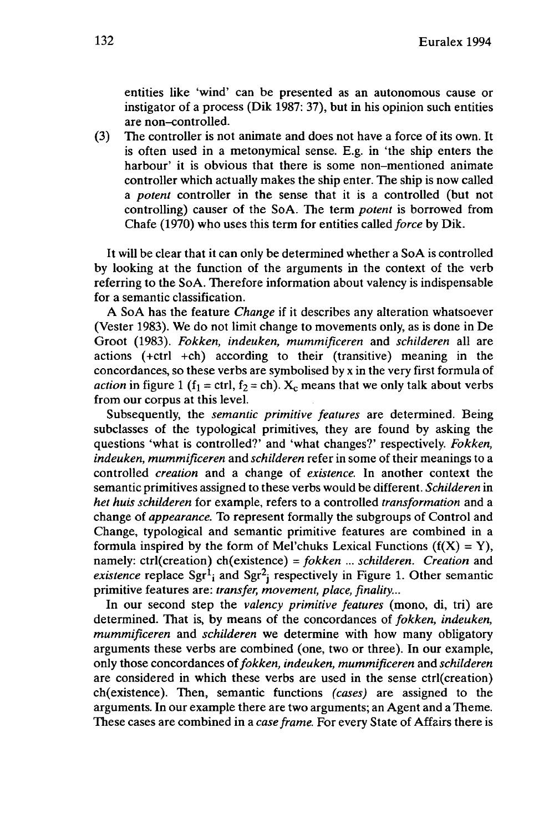entities like 'wind' can be presented as an autonomous cause or instigator of a process (Dik 1987: 37), but in his opinion such entities are non-controlled.

(3) The controller is not animate and does not have a force of its own. It is often used in a metonymical sense. E.g. in 'the ship enters the harbour' it is obvious that there is some non-mentioned animate controller which actually makes the ship enter. The ship is now called a *potent* controller in the sense that it is a controlled (but not controlling) causer of the SoA. The term *potent* is borrowed from Chafe (1970) who uses this term for entities called *force* by Dik.

It will be clear that it can only be determined whether a SoA is controlled by looking at the function of the arguments in the context of the verb referring to the SoA. Therefore information about valency is indispensable for a semantic classification.

A SoA has the feature *Change* if it describes any alteration whatsoever (Vester 1983). We do not limit change to movements only, as is done in De Groot (1983). *Fokken, indeuken, mummificeren* and *schilderen* all are actions (+ctrl +ch) according to their (transitive) meaning in the concordances, so these verbs are symbolised by x in the very first formula of *action* in figure 1 ( $f_1 = \text{ctrl}, f_2 = \text{ch}$ ).  $X_c$  means that we only talk about verbs from our corpus at this level.

Subsequently, the *semantic primitive features* are determined. Being subclasses of the typological primitives, they are found by asking the questions 'what is controlled?' and 'what changes?' respectively. *Fokken, indeuken, mummificeren* and *schilderen* refer in some of their meanings to a controlled *creation* and a change of *existence.* In another context the semantic primitives assigned to these verbs would be different. *Schilderen* in *het huis schilderen* for example, refers to a controlled *transformation* and a change of *appearance.* To represent formally the subgroups of Control and Change, typological and semantic primitive features are combined in a formula inspired by the form of Mel'chuks Lexical Functions  $(f(X) = Y)$ , namely: ctrl(creation) ch(existence) = *fokken ... schilderen. Creation* and existence replace Sgr<sup>1</sup><sub>i</sub> and Sgr<sup>2</sup><sub>i</sub> respectively in Figure 1. Other semantic primitive features are: *transfer, movement, place, finality...*

In our second step the *valency primitive features* (mono, di, tri) are determined. That is, by means of the concordances of *fokken, indeuken, mummificeren* and *schilderen* we determine with how many obligatory arguments these verbs are combined (one, two or three). In our example, only those concordances of*fokken, indeuken, mummificeren* and *schilderen* are considered in which these verbs are used in the sense ctrl(creation) ch(existence). Then, semantic functions *(cases)* are assigned to the arguments. In our example there are two arguments; an Agent and a Theme. These cases are combined in a *case frame.* For every State of Affairs there is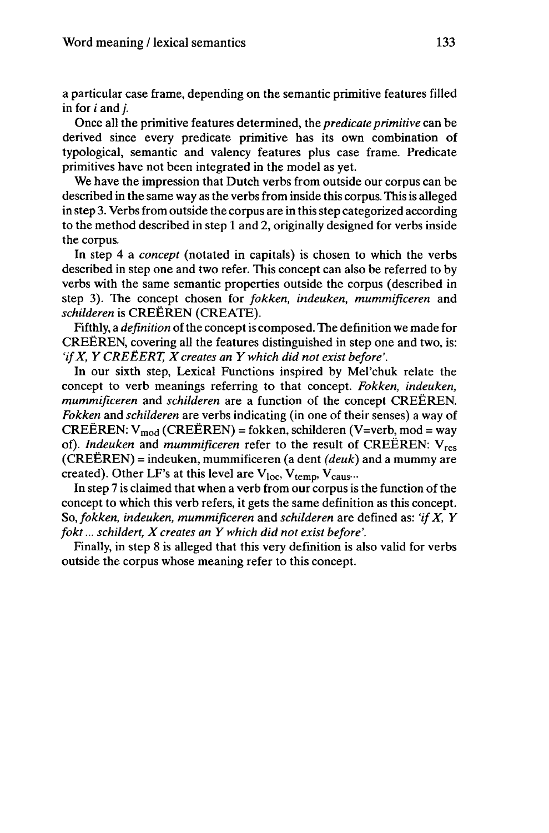a particular case frame, depending on the semantic primitive features filled in for *i* and /.

Once all the primitive features determined, the *predicate primitive* can be derived since every predicate primitive has its own combination of typological, semantic and valency features plus case frame. Predicate primitives have not been integrated in the model as yet.

We have the impression that Dutch verbs from outside our corpus can be described in the same way as the verbs from inside this corpus. This is alleged in step 3. Verbs from outside the corpus are in this step categorized according to the method described in step <sup>1</sup> and 2, originally designed for verbs inside the corpus.

In step 4 a *concept* (notated in capitals) is chosen to which the verbs described in step one and two refer. This concept can also be referred to by verbs with the same semantic properties outside the corpus (described in step 3). The concept chosen for *fokken, indeuken, mummificeren* and *schilderen* is CREËREN (CREATE).

Fifthly, a *definition* of the concept is composed. The definition we made for CREËREN, covering all the features distinguished in step one and two, is: *'ifX, Y CREËERT, Xcreates an Y which did not exist before'.*

In our sixth step, Lexical Functions inspired by Mel'chuk relate the concept to verb meanings referring to that concept. *Fokken, indeuken, mummificeren* and *schilderen* are a function of the concept CREËREN. *Fokken* and *schilderen* are verbs indicating (in one of their senses) a way of CREËREN:  $V_{mod}$  (CREËREN) = fokken, schilderen (V=verb, mod = way of). *Indeuken* and *mummificeren* refer to the result of CREËREN: Vres (CREËREN) = indeuken, mummificeren (a dent *(deuk)* and a mummy are created). Other LF's at this level are  $V_{loc}$ ,  $V_{temp}$ ,  $V_{caus}$ ...

In step 7 is claimed that when a verb from our corpus is the function of the concept to which this verb refers, it gets the same definition as this concept. So, *fokken, indeuken, mummificeren* and *schilderen* are defined as: *'ifX, Y fokt... schildert, Xcreates an Y which did not exist before'.*

Finally, in step 8 is alleged that this very definition is also valid for verbs outside the corpus whose meaning refer to this concept.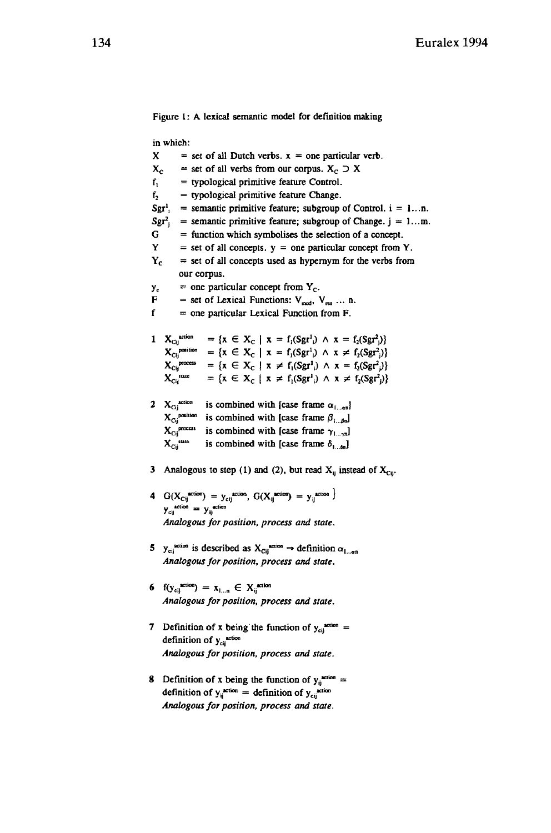Figure 1: A lexical semantic model for definition making in which:  $X = set of all Dutch verbs, x = one particular verb.$  $X_c$  = set of all verbs from our corpus.  $X_c \supseteq X$  $f_1$  = typological primitive feature Control.  $f<sub>2</sub>$  = typological primitive feature Change.  $Sgr<sup>1</sup>$  = semantic primitive feature; subgroup of Control,  $i = 1...n$ .  $Sgr_i^2$  = semantic primitive feature; subgroup of Change. j = 1...m.  $G =$  function which symbolises the selection of a concept.  $Y = set of all concepts, y = one particular concept from Y.$  $Y_c$  = set of all concepts used as hypernym for the verbs from our corpus.  $y_c$  = one particular concept from  $Y_c$ . F = set of Lexical Functions:  $V_{mod}$ ,  $V_{res}$  ... n.  $f =$  one particular Lexical Function from F. 1  $X_{Cij}^{xccion}$  = { $x \in X_C | x = f_i(Sgr^1_i) \wedge x = f_2(Sgr^2_i)$ }  $X_{\text{Cij}}^{\text{position}} = \{x \in X_{\text{C}} \mid x = f_1(\text{Sgr}^1) \land x \neq f_2(\text{Sgr}^2)\}\$  $X_{\text{Cij}}^{\text{process}} = \{x \in X_{\text{C}} \mid x \neq f_1(\text{Sgr}^1) \land x = f_2(\text{Sgr}^2)\}\$  $X_{Cij}^{state} = \{x \in X_C \mid x \neq f_1(Sgr^1) \land x \neq f_2(Sgr^2)\}\$ 2  $X_{\text{Cij}}^{\text{action}}$  is combined with [case frame  $\alpha_{1... \alpha n}$ ]  $X_{C_{ij}}^{i}$  is combined with [case frame  $G_{1...en}^{i}$ ]<br> $X_{C_{ij}}^{i}$  is combined with [case frame  $\beta_{1...en}$ ]  $X_{Cij}$ <sup>process</sup> is combined with [case frame  $\gamma_{1... \gamma n}$ ]<br> $X_{Cij}$ <sup>tase</sup> is combined with [case frame  $\delta_{1...bn}$ ] is combined with [case frame  $\delta_{1}$ <sub>in</sub>]

- 3 Analogous to step (1) and (2), but read  $X_{ij}$  instead of  $X_{Cij}$ .
- 4  $G(X_{Cij}^{*}}) = y_{Cij}^{*}$  *action*,  $G(X_{ij}^{*} \text{arion}) = y_{ij}^{*}$  *action*  $}$  $y_{\text{cij}}^{\text{action}} = y_{\text{ij}}^{\text{action}}$ *Analogous for position, process and state.*
- 5 y<sub>oij</sub><sup>action</sup> is described as  $X_{\text{Cij}}^{n \text{ action}} \rightarrow$  definition  $\alpha_{1... \alpha n}$ *Analogousfor position, process and state.*
- **6**  $f(y_{\text{cij}}^{\text{action}}) = x_{1...n} \in X_{\text{ij}}^{\text{action}}$ *Analogousfor position, process and state.*
- 7 Definition of x being the function of  $y_{\text{ci}}^{*}$  = definition of  $y_{\text{cij}}^{*}$ <sup>action</sup> *Analogousfor position, process and state.*
- 8 Definition of x being the function of  $y_i^{*}$ <sup>\*\*\*\*\*\*\*</sup> definition of  $y_{ij}^{arion} =$  definition of  $y_{cij}^{arion}$ *Analogousfor position, process and state.*